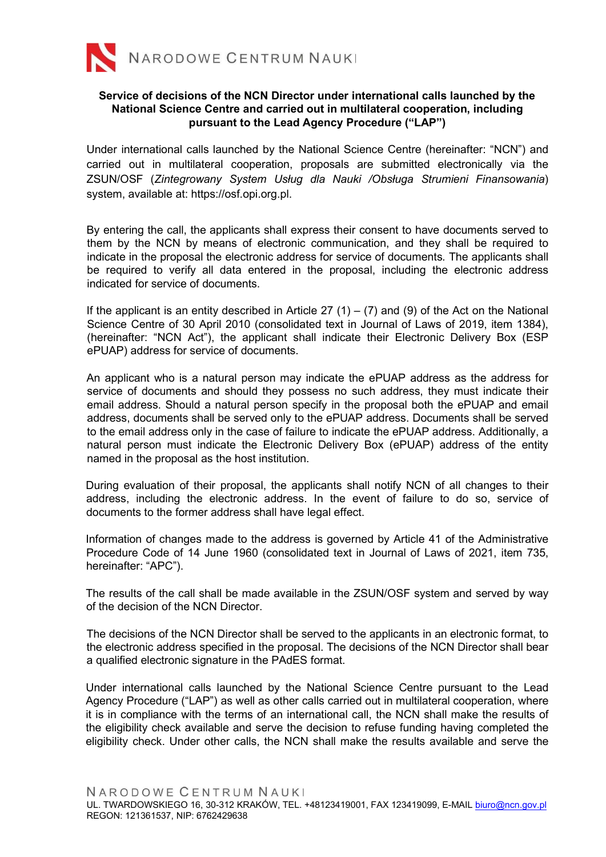

## Service of decisions of the NCN Director under international calls launched by the National Science Centre and carried out in multilateral cooperation, including pursuant to the Lead Agency Procedure ("LAP")

Under international calls launched by the National Science Centre (hereinafter: "NCN") and carried out in multilateral cooperation, proposals are submitted electronically via the ZSUN/OSF (Zintegrowany System Usług dla Nauki /Obsługa Strumieni Finansowania) system, available at: https://osf.opi.org.pl.

By entering the call, the applicants shall express their consent to have documents served to them by the NCN by means of electronic communication, and they shall be required to indicate in the proposal the electronic address for service of documents. The applicants shall be required to verify all data entered in the proposal, including the electronic address indicated for service of documents.

If the applicant is an entity described in Article 27 (1) – (7) and (9) of the Act on the National Science Centre of 30 April 2010 (consolidated text in Journal of Laws of 2019, item 1384), (hereinafter: "NCN Act"), the applicant shall indicate their Electronic Delivery Box (ESP ePUAP) address for service of documents.

An applicant who is a natural person may indicate the ePUAP address as the address for service of documents and should they possess no such address, they must indicate their email address. Should a natural person specify in the proposal both the ePUAP and email address, documents shall be served only to the ePUAP address. Documents shall be served to the email address only in the case of failure to indicate the ePUAP address. Additionally, a natural person must indicate the Electronic Delivery Box (ePUAP) address of the entity named in the proposal as the host institution.

During evaluation of their proposal, the applicants shall notify NCN of all changes to their address, including the electronic address. In the event of failure to do so, service of documents to the former address shall have legal effect.

Information of changes made to the address is governed by Article 41 of the Administrative Procedure Code of 14 June 1960 (consolidated text in Journal of Laws of 2021, item 735, hereinafter: "APC").

The results of the call shall be made available in the ZSUN/OSF system and served by way of the decision of the NCN Director.

The decisions of the NCN Director shall be served to the applicants in an electronic format, to the electronic address specified in the proposal. The decisions of the NCN Director shall bear a qualified electronic signature in the PAdES format.

Under international calls launched by the National Science Centre pursuant to the Lead Agency Procedure ("LAP") as well as other calls carried out in multilateral cooperation, where it is in compliance with the terms of an international call, the NCN shall make the results of the eligibility check available and serve the decision to refuse funding having completed the eligibility check. Under other calls, the NCN shall make the results available and serve the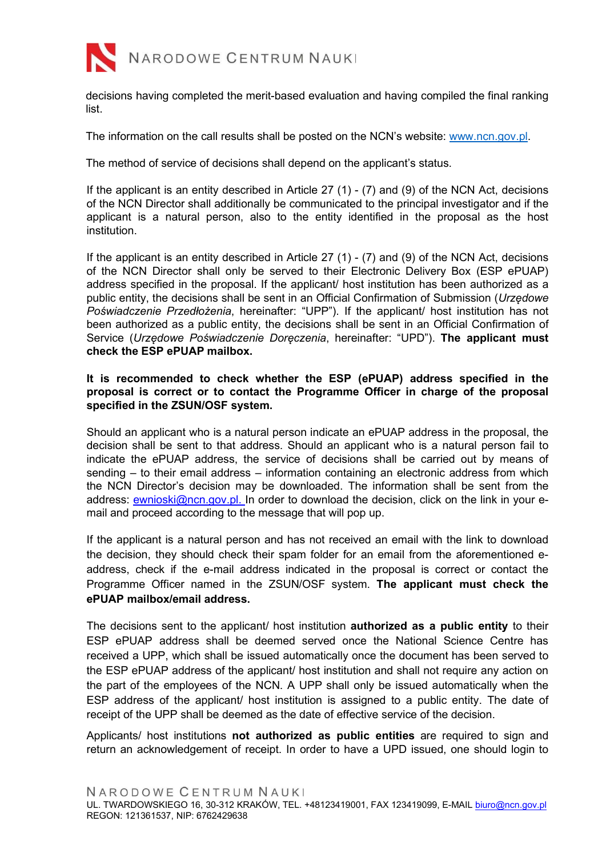

decisions having completed the merit-based evaluation and having compiled the final ranking list.

The information on the call results shall be posted on the NCN's website: www.ncn.gov.pl.

The method of service of decisions shall depend on the applicant's status.

If the applicant is an entity described in Article 27 (1) - (7) and (9) of the NCN Act, decisions of the NCN Director shall additionally be communicated to the principal investigator and if the applicant is a natural person, also to the entity identified in the proposal as the host institution.

If the applicant is an entity described in Article 27 (1) - (7) and (9) of the NCN Act, decisions of the NCN Director shall only be served to their Electronic Delivery Box (ESP ePUAP) address specified in the proposal. If the applicant/ host institution has been authorized as a public entity, the decisions shall be sent in an Official Confirmation of Submission (Urzedowe Poświadczenie Przedłożenia, hereinafter: "UPP"). If the applicant/ host institution has not been authorized as a public entity, the decisions shall be sent in an Official Confirmation of Service (Urzędowe Poświadczenie Doręczenia, hereinafter: "UPD"). The applicant must check the ESP ePUAP mailbox.

## It is recommended to check whether the ESP (ePUAP) address specified in the proposal is correct or to contact the Programme Officer in charge of the proposal specified in the ZSUN/OSF system.

Should an applicant who is a natural person indicate an ePUAP address in the proposal, the decision shall be sent to that address. Should an applicant who is a natural person fail to indicate the ePUAP address, the service of decisions shall be carried out by means of sending – to their email address – information containing an electronic address from which the NCN Director's decision may be downloaded. The information shall be sent from the address: ewnioski@ncn.gov.pl. In order to download the decision, click on the link in your email and proceed according to the message that will pop up.

If the applicant is a natural person and has not received an email with the link to download the decision, they should check their spam folder for an email from the aforementioned eaddress, check if the e-mail address indicated in the proposal is correct or contact the Programme Officer named in the ZSUN/OSF system. The applicant must check the ePUAP mailbox/email address.

The decisions sent to the applicant/ host institution **authorized as a public entity** to their ESP ePUAP address shall be deemed served once the National Science Centre has received a UPP, which shall be issued automatically once the document has been served to the ESP ePUAP address of the applicant/ host institution and shall not require any action on the part of the employees of the NCN. A UPP shall only be issued automatically when the ESP address of the applicant/ host institution is assigned to a public entity. The date of receipt of the UPP shall be deemed as the date of effective service of the decision.

Applicants/ host institutions not authorized as public entities are required to sign and return an acknowledgement of receipt. In order to have a UPD issued, one should login to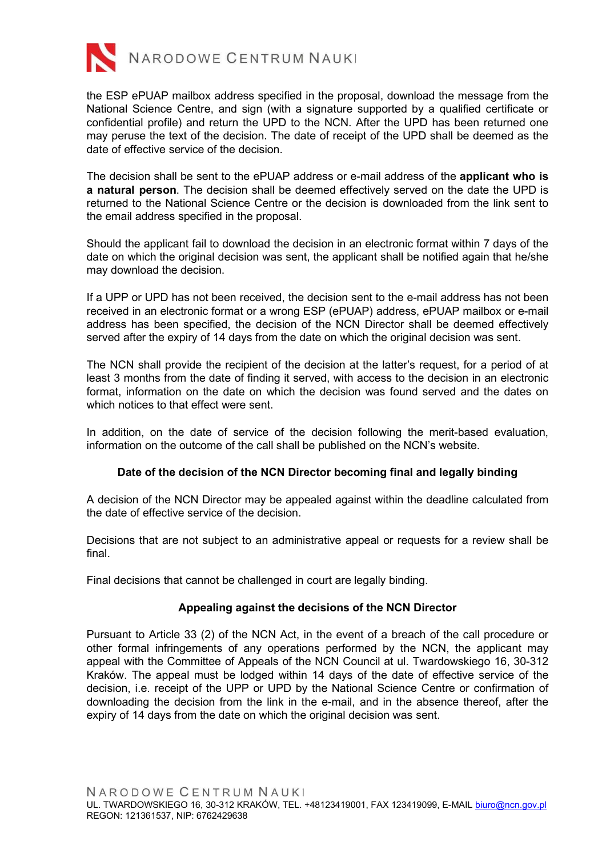

the ESP ePUAP mailbox address specified in the proposal, download the message from the National Science Centre, and sign (with a signature supported by a qualified certificate or confidential profile) and return the UPD to the NCN. After the UPD has been returned one may peruse the text of the decision. The date of receipt of the UPD shall be deemed as the date of effective service of the decision.

The decision shall be sent to the ePUAP address or e-mail address of the applicant who is a natural person. The decision shall be deemed effectively served on the date the UPD is returned to the National Science Centre or the decision is downloaded from the link sent to the email address specified in the proposal.

Should the applicant fail to download the decision in an electronic format within 7 days of the date on which the original decision was sent, the applicant shall be notified again that he/she may download the decision.

If a UPP or UPD has not been received, the decision sent to the e-mail address has not been received in an electronic format or a wrong ESP (ePUAP) address, ePUAP mailbox or e-mail address has been specified, the decision of the NCN Director shall be deemed effectively served after the expiry of 14 days from the date on which the original decision was sent.

The NCN shall provide the recipient of the decision at the latter's request, for a period of at least 3 months from the date of finding it served, with access to the decision in an electronic format, information on the date on which the decision was found served and the dates on which notices to that effect were sent.

In addition, on the date of service of the decision following the merit-based evaluation, information on the outcome of the call shall be published on the NCN's website.

## Date of the decision of the NCN Director becoming final and legally binding

A decision of the NCN Director may be appealed against within the deadline calculated from the date of effective service of the decision.

Decisions that are not subject to an administrative appeal or requests for a review shall be final.

Final decisions that cannot be challenged in court are legally binding.

## Appealing against the decisions of the NCN Director

Pursuant to Article 33 (2) of the NCN Act, in the event of a breach of the call procedure or other formal infringements of any operations performed by the NCN, the applicant may appeal with the Committee of Appeals of the NCN Council at ul. Twardowskiego 16, 30-312 Kraków. The appeal must be lodged within 14 days of the date of effective service of the decision, i.e. receipt of the UPP or UPD by the National Science Centre or confirmation of downloading the decision from the link in the e-mail, and in the absence thereof, after the expiry of 14 days from the date on which the original decision was sent.